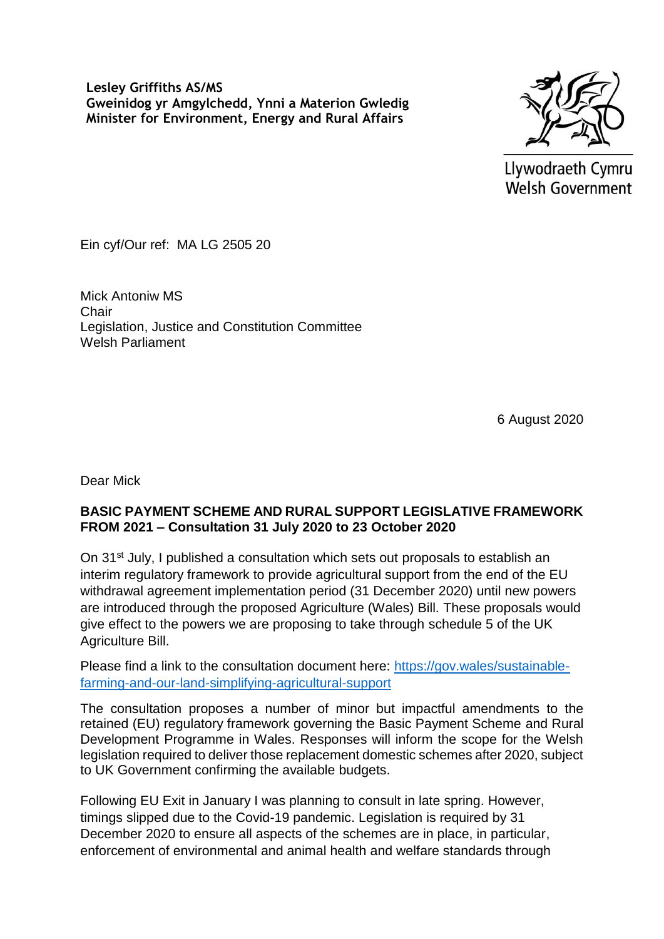**Lesley Griffiths AS/MS Gweinidog yr Amgylchedd, Ynni a Materion Gwledig Minister for Environment, Energy and Rural Affairs** 



Llywodraeth Cymru **Welsh Government** 

Ein cyf/Our ref: MA LG 2505 20

Mick Antoniw MS **Chair** Legislation, Justice and Constitution Committee Welsh Parliament

6 August 2020

Dear Mick

## **BASIC PAYMENT SCHEME AND RURAL SUPPORT LEGISLATIVE FRAMEWORK FROM 2021 – Consultation 31 July 2020 to 23 October 2020**

On 31<sup>st</sup> July, I published a consultation which sets out proposals to establish an interim regulatory framework to provide agricultural support from the end of the EU withdrawal agreement implementation period (31 December 2020) until new powers are introduced through the proposed Agriculture (Wales) Bill. These proposals would give effect to the powers we are proposing to take through schedule 5 of the UK Agriculture Bill.

Please find a link to the consultation document here: [https://gov.wales/sustainable](https://eur01.safelinks.protection.outlook.com/?url=https%3A%2F%2Fgov.wales%2Fsustainable-farming-and-our-land-simplifying-agricultural-support&data=02%7C01%7CCatrin.Davies036%40gov.wales%7Cab79598fb4e44f4fbcbd08d83464d893%7Ca2cc36c592804ae78887d06dab89216b%7C0%7C0%7C637316955014201701&sdata=%2BvxRQBrxGJ4I22CqJZU8JiD3Y36h1C4YPtDr4cZCmtc%3D&reserved=0)[farming-and-our-land-simplifying-agricultural-support](https://eur01.safelinks.protection.outlook.com/?url=https%3A%2F%2Fgov.wales%2Fsustainable-farming-and-our-land-simplifying-agricultural-support&data=02%7C01%7CCatrin.Davies036%40gov.wales%7Cab79598fb4e44f4fbcbd08d83464d893%7Ca2cc36c592804ae78887d06dab89216b%7C0%7C0%7C637316955014201701&sdata=%2BvxRQBrxGJ4I22CqJZU8JiD3Y36h1C4YPtDr4cZCmtc%3D&reserved=0)

The consultation proposes a number of minor but impactful amendments to the retained (EU) regulatory framework governing the Basic Payment Scheme and Rural Development Programme in Wales. Responses will inform the scope for the Welsh legislation required to deliver those replacement domestic schemes after 2020, subject to UK Government confirming the available budgets.

Following EU Exit in January I was planning to consult in late spring. However, timings slipped due to the Covid-19 pandemic. Legislation is required by 31 December 2020 to ensure all aspects of the schemes are in place, in particular, enforcement of environmental and animal health and welfare standards through